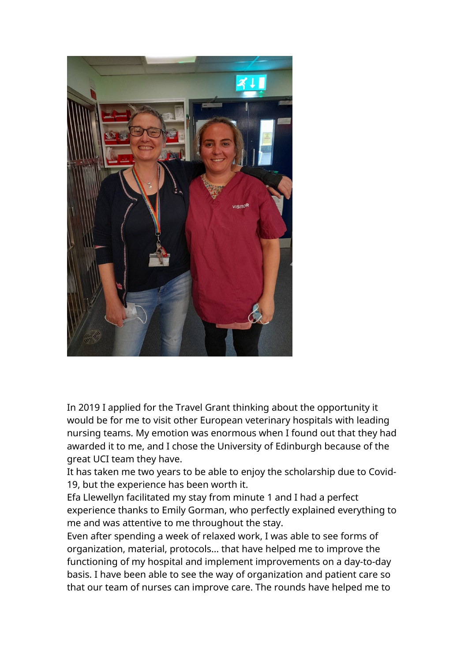

In 2019 I applied for the Travel Grant thinking about the opportunity it would be for me to visit other European veterinary hospitals with leading nursing teams. My emotion was enormous when I found out that they had awarded it to me, and I chose the University of Edinburgh because of the great UCI team they have.

It has taken me two years to be able to enjoy the scholarship due to Covid-19, but the experience has been worth it.

Efa Llewellyn facilitated my stay from minute 1 and I had a perfect experience thanks to Emily Gorman, who perfectly explained everything to me and was attentive to me throughout the stay.

Even after spending a week of relaxed work, I was able to see forms of organization, material, protocols... that have helped me to improve the functioning of my hospital and implement improvements on a day-to-day basis. I have been able to see the way of organization and patient care so that our team of nurses can improve care. The rounds have helped me to